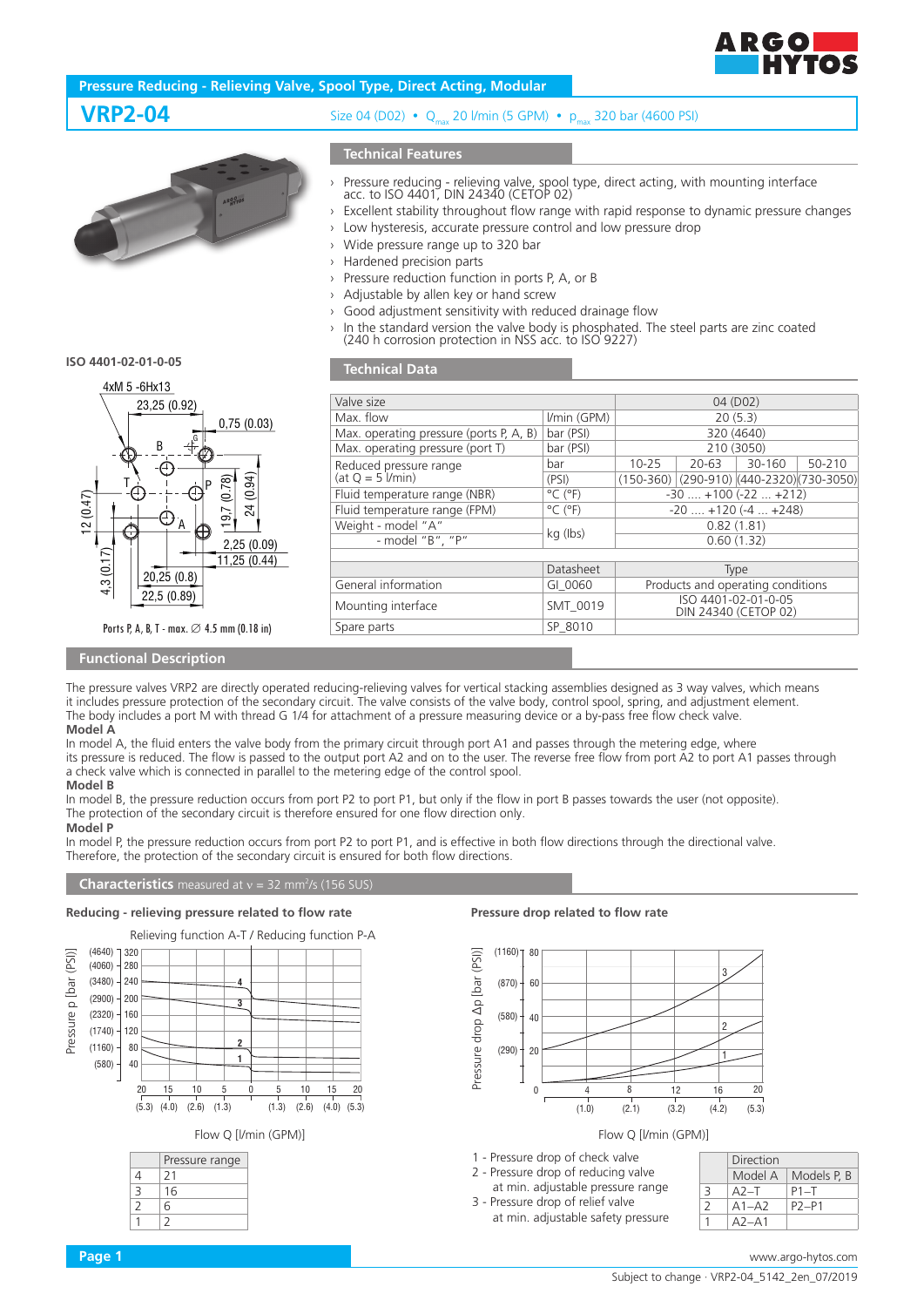

# **Pressure Reducing - Relieving Valve, Spool Type, Direct Acting, Modular**

**VRP2-04** Size 04 (D02)  $\cdot$  Q 20 l/min (5 GPM)  $\cdot$  pm 320 bar (4600 PSI)

# **Technical Features**

- › Pressure reducing relieving valve, spool type, direct acting, with mounting interface acc. to ISO 4401, DIN 24340 (CETOP 02)
- › Excellent stability throughout flow range with rapid response to dynamic pressure changes
- Low hysteresis, accurate pressure control and low pressure drop
- › Wide pressure range up to 320 bar

Max. operating pressure (port T) Reduced pressure range  $(at Q = 5$   $l/min)$ 

 $-$  model "B",

- Hardened precision parts
- Pressure reduction function in ports P, A, or B
- Adjustable by allen key or hand screw
- Good adjustment sensitivity with reduced drainage flow
- › In the standard version the valve body is phosphated. The steel parts are zinc coated (240 h corrosion protection in NSS acc. to ISO 9227)

Fluid temperature range (NBR)  $\degree$   $\degree$  ( $\degree$ F)  $\degree$  -30 ... +100 (-22 ... +212) Fluid temperature range (FPM)  $\degree$  C (°F)  $\degree$  -20 ... +120 (-4 ... +248)  $\begin{array}{c|c|c|c|c|c} \text{Weight - model "A"} & \text{A''} & \text{kg (lbs)} & \text{0.82 (1.81)} \\ \text{- model "B". "P"} & \text{kg (lbs)} & \text{0.60 (1.32)} \end{array}$ 

General information GI\_0060 Products and operating conditions Mounting interface SMT\_0019 ISO 4401-02-01-0-05

bar 10-25 20-63 30-160 50-210 (PSI) (150-360) (290-910) (440-2320)(730-3050)

DIN 24340 (CETOP 02)

Datasheet Type<br>
GI 0060 Products and opera

Valve size 04 (D02) Max. flow  $1/min$  (GPM) 20 (5.3)<br>Max. operating pressure (ports P, A, B) bar (PSI) 20 (464) Max. operating pressure (ports P, A, B) bar (PSI) 320 (4640)<br>Max. operating pressure (port T) bar (PSI) 210 (3050)

|                         | $\rightarrow$ Adjustable by alle<br>Good adjustmen<br>><br>In the standard v<br>(240 h corrosion |
|-------------------------|--------------------------------------------------------------------------------------------------|
| ISO 4401-02-01-0-05     | <b>Technical Data</b>                                                                            |
| 4xM 5 - 6Hx13           |                                                                                                  |
| 23,25 (0.92)            | Valve size                                                                                       |
| 0,75(0.03)              | Max. flow                                                                                        |
|                         | Max. operating pres                                                                              |
| B<br>D                  | Max. operating pres                                                                              |
|                         | Reduced pressure ra<br>$(at Q = 5$ $l/min)$                                                      |
| (0.94)<br>(0.78)        | Fluid temperature ra                                                                             |
| 24                      | Fluid temperature ra                                                                             |
| 12(0.47)<br>A           | Weight - model "A                                                                                |
| 2,25(0.09)              | - model "B'                                                                                      |
| 3(0.17)<br>11,25 (0.44) |                                                                                                  |
| 20,25(0.8)              |                                                                                                  |
|                         | Conoral information                                                                              |

Ports P, A, B, T - max. ∅ 4.5 mm (0.18 in)

22,5 (0.89)

## **Functional Description**

 $1,3$ 

The pressure valves VRP2 are directly operated reducing-relieving valves for vertical stacking assemblies designed as 3 way valves, which means it includes pressure protection of the secondary circuit. The valve consists of the valve body, control spool, spring, and adjustment element. The body includes a port M with thread G 1/4 for attachment of a pressure measuring device or a by-pass free flow check valve. **Model A**

Spare parts SP\_8010

In model A, the fluid enters the valve body from the primary circuit through port A1 and passes through the metering edge, where its pressure is reduced. The flow is passed to the output port A2 and on to the user. The reverse free flow from port A2 to port A1 passes through a check valve which is connected in parallel to the metering edge of the control spool. **Model B**

In model B, the pressure reduction occurs from port P2 to port P1, but only if the flow in port B passes towards the user (not opposite). The protection of the secondary circuit is therefore ensured for one flow direction only. **Model P**

In model P, the pressure reduction occurs from port P2 to port P1, and is effective in both flow directions through the directional valve. Therefore, the protection of the secondary circuit is ensured for both flow directions.

#### **Characteristics** measured at  $v = 32$  mm<sup>2</sup>/s (156 SUS)

#### **Reducing - relieving pressure related to flow rate**





### **Pressure drop related to flow rate**



### Flow Q [l/min (GPM)]

- 1 Pressure drop of check valve
- 2 Pressure drop of reducing valve at min. adjustable pressure range
- 3 Pressure drop of relief valve
	- at min. adjustable safety pressure

|               | Direction |             |
|---------------|-----------|-------------|
|               | Model A   | Models P, B |
| 3             | $A2 - T$  | $P1 - T$    |
| $\mathcal{L}$ | $A1 - A2$ | P2-P1       |
|               | $A2 - A1$ |             |

# Subject to change · VRP2-04\_5142\_2en\_07/2019